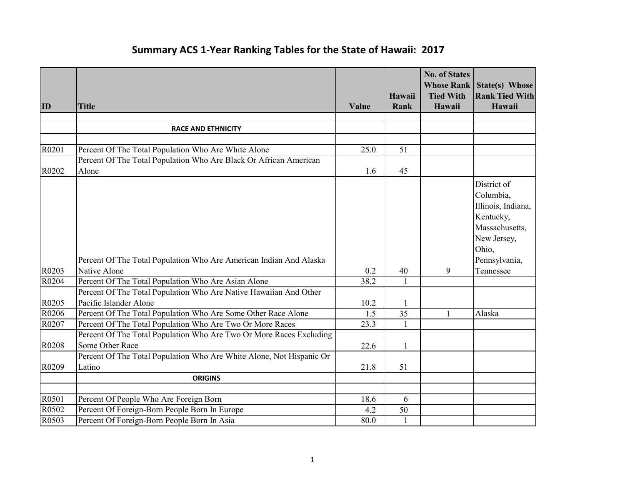## **Summary ACS 1‐Year Ranking Tables for the State of Hawaii: 2017**

|       |                                                                      |       |                | <b>No. of States</b>       | <b>Whose Rank State(s) Whose</b> |
|-------|----------------------------------------------------------------------|-------|----------------|----------------------------|----------------------------------|
| ID    | <b>Title</b>                                                         | Value | Hawaii<br>Rank | <b>Tied With</b><br>Hawaii | <b>Rank Tied With</b><br>Hawaii  |
|       |                                                                      |       |                |                            |                                  |
|       | <b>RACE AND ETHNICITY</b>                                            |       |                |                            |                                  |
|       |                                                                      |       |                |                            |                                  |
| R0201 | Percent Of The Total Population Who Are White Alone                  | 25.0  | 51             |                            |                                  |
|       | Percent Of The Total Population Who Are Black Or African American    |       |                |                            |                                  |
| R0202 | Alone                                                                | 1.6   | 45             |                            |                                  |
|       |                                                                      |       |                |                            | District of                      |
|       |                                                                      |       |                |                            | Columbia,                        |
|       |                                                                      |       |                |                            | Illinois, Indiana,               |
|       |                                                                      |       |                |                            | Kentucky,                        |
|       |                                                                      |       |                |                            | Massachusetts,                   |
|       |                                                                      |       |                |                            | New Jersey,                      |
|       |                                                                      |       |                |                            | Ohio,                            |
|       | Percent Of The Total Population Who Are American Indian And Alaska   |       |                |                            | Pennsylvania,                    |
| R0203 | Native Alone                                                         | 0.2   | 40             | 9                          | Tennessee                        |
| R0204 | Percent Of The Total Population Who Are Asian Alone                  | 38.2  | $\mathbf{1}$   |                            |                                  |
|       | Percent Of The Total Population Who Are Native Hawaiian And Other    |       |                |                            |                                  |
| R0205 | Pacific Islander Alone                                               | 10.2  | 1              |                            |                                  |
| R0206 | Percent Of The Total Population Who Are Some Other Race Alone        | 1.5   | 35             | 1                          | Alaska                           |
| R0207 | Percent Of The Total Population Who Are Two Or More Races            | 23.3  | $\mathbf{1}$   |                            |                                  |
|       | Percent Of The Total Population Who Are Two Or More Races Excluding  |       |                |                            |                                  |
| R0208 | Some Other Race                                                      | 22.6  | 1              |                            |                                  |
|       | Percent Of The Total Population Who Are White Alone, Not Hispanic Or |       |                |                            |                                  |
| R0209 | Latino                                                               | 21.8  | 51             |                            |                                  |
|       | <b>ORIGINS</b>                                                       |       |                |                            |                                  |
|       |                                                                      |       |                |                            |                                  |
| R0501 | Percent Of People Who Are Foreign Born                               | 18.6  | 6              |                            |                                  |
| R0502 | Percent Of Foreign-Born People Born In Europe                        | 4.2   | 50             |                            |                                  |
| R0503 | Percent Of Foreign-Born People Born In Asia                          | 80.0  | $\mathbf{1}$   |                            |                                  |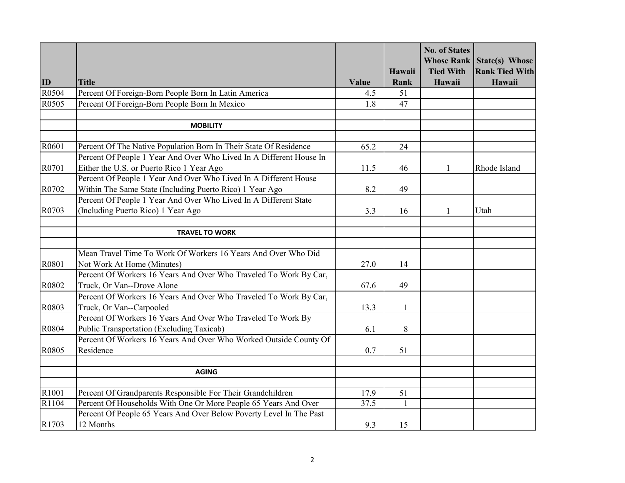|       |                                                                     |       |              | <b>No. of States</b> | <b>Whose Rank State(s) Whose</b> |
|-------|---------------------------------------------------------------------|-------|--------------|----------------------|----------------------------------|
|       |                                                                     |       | Hawaii       | <b>Tied With</b>     | <b>Rank Tied With</b>            |
| ID    | <b>Title</b>                                                        | Value | Rank         | Hawaii               | Hawaii                           |
| R0504 | Percent Of Foreign-Born People Born In Latin America                | 4.5   | 51           |                      |                                  |
| R0505 | Percent Of Foreign-Born People Born In Mexico                       | 1.8   | 47           |                      |                                  |
|       |                                                                     |       |              |                      |                                  |
|       | <b>MOBILITY</b>                                                     |       |              |                      |                                  |
|       |                                                                     |       |              |                      |                                  |
| R0601 | Percent Of The Native Population Born In Their State Of Residence   | 65.2  | 24           |                      |                                  |
|       | Percent Of People 1 Year And Over Who Lived In A Different House In |       |              |                      |                                  |
| R0701 | Either the U.S. or Puerto Rico 1 Year Ago                           | 11.5  | 46           | $\mathbf{1}$         | Rhode Island                     |
|       | Percent Of People 1 Year And Over Who Lived In A Different House    |       |              |                      |                                  |
| R0702 | Within The Same State (Including Puerto Rico) 1 Year Ago            | 8.2   | 49           |                      |                                  |
|       | Percent Of People 1 Year And Over Who Lived In A Different State    |       |              |                      |                                  |
| R0703 | (Including Puerto Rico) 1 Year Ago                                  | 3.3   | 16           | 1                    | Utah                             |
|       |                                                                     |       |              |                      |                                  |
|       | <b>TRAVEL TO WORK</b>                                               |       |              |                      |                                  |
|       |                                                                     |       |              |                      |                                  |
|       | Mean Travel Time To Work Of Workers 16 Years And Over Who Did       |       |              |                      |                                  |
| R0801 | Not Work At Home (Minutes)                                          | 27.0  | 14           |                      |                                  |
|       | Percent Of Workers 16 Years And Over Who Traveled To Work By Car,   |       |              |                      |                                  |
| R0802 | Truck, Or Van--Drove Alone                                          | 67.6  | 49           |                      |                                  |
|       | Percent Of Workers 16 Years And Over Who Traveled To Work By Car,   |       |              |                      |                                  |
| R0803 | Truck, Or Van--Carpooled                                            | 13.3  | 1            |                      |                                  |
|       | Percent Of Workers 16 Years And Over Who Traveled To Work By        |       |              |                      |                                  |
| R0804 | Public Transportation (Excluding Taxicab)                           | 6.1   | 8            |                      |                                  |
|       | Percent Of Workers 16 Years And Over Who Worked Outside County Of   |       |              |                      |                                  |
| R0805 | Residence                                                           | 0.7   | 51           |                      |                                  |
|       |                                                                     |       |              |                      |                                  |
|       | <b>AGING</b>                                                        |       |              |                      |                                  |
| R1001 | Percent Of Grandparents Responsible For Their Grandchildren         | 17.9  | 51           |                      |                                  |
| R1104 | Percent Of Households With One Or More People 65 Years And Over     | 37.5  | $\mathbf{1}$ |                      |                                  |
|       | Percent Of People 65 Years And Over Below Poverty Level In The Past |       |              |                      |                                  |
| R1703 | 12 Months                                                           | 9.3   | 15           |                      |                                  |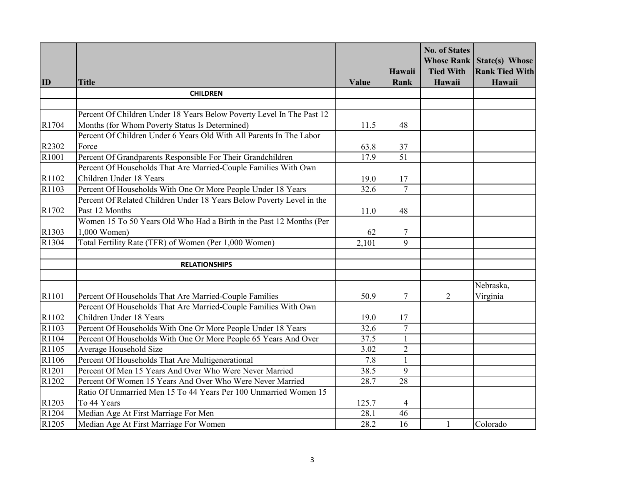|                   |                                                                       |       |                 | <b>No. of States</b> |                                                           |
|-------------------|-----------------------------------------------------------------------|-------|-----------------|----------------------|-----------------------------------------------------------|
|                   |                                                                       |       | Hawaii          | <b>Tied With</b>     | <b>Whose Rank State(s) Whose</b><br><b>Rank Tied With</b> |
| ID                | <b>Title</b>                                                          | Value | Rank            | Hawaii               | Hawaii                                                    |
|                   | <b>CHILDREN</b>                                                       |       |                 |                      |                                                           |
|                   |                                                                       |       |                 |                      |                                                           |
|                   | Percent Of Children Under 18 Years Below Poverty Level In The Past 12 |       |                 |                      |                                                           |
| R1704             | Months (for Whom Poverty Status Is Determined)                        | 11.5  | 48              |                      |                                                           |
|                   | Percent Of Children Under 6 Years Old With All Parents In The Labor   |       |                 |                      |                                                           |
| R2302             | Force                                                                 | 63.8  | 37              |                      |                                                           |
| R1001             | Percent Of Grandparents Responsible For Their Grandchildren           | 17.9  | $\overline{51}$ |                      |                                                           |
|                   | Percent Of Households That Are Married-Couple Families With Own       |       |                 |                      |                                                           |
| R1102             | Children Under 18 Years                                               | 19.0  | 17              |                      |                                                           |
| R1103             | Percent Of Households With One Or More People Under 18 Years          | 32.6  | $\overline{7}$  |                      |                                                           |
|                   | Percent Of Related Children Under 18 Years Below Poverty Level in the |       |                 |                      |                                                           |
| R1702             | Past 12 Months                                                        | 11.0  | 48              |                      |                                                           |
|                   | Women 15 To 50 Years Old Who Had a Birth in the Past 12 Months (Per   |       |                 |                      |                                                           |
| R1303             | 1,000 Women)                                                          | 62    | $\tau$          |                      |                                                           |
| R1304             | Total Fertility Rate (TFR) of Women (Per 1,000 Women)                 | 2,101 | $\overline{9}$  |                      |                                                           |
|                   |                                                                       |       |                 |                      |                                                           |
|                   | <b>RELATIONSHIPS</b>                                                  |       |                 |                      |                                                           |
|                   |                                                                       |       |                 |                      |                                                           |
|                   |                                                                       |       |                 |                      | Nebraska,                                                 |
| R1101             | Percent Of Households That Are Married-Couple Families                | 50.9  | $\tau$          | 2                    | Virginia                                                  |
|                   | Percent Of Households That Are Married-Couple Families With Own       |       |                 |                      |                                                           |
| R1102             | Children Under 18 Years                                               | 19.0  | 17              |                      |                                                           |
| R1103             | Percent Of Households With One Or More People Under 18 Years          | 32.6  | $\overline{7}$  |                      |                                                           |
| R1104             | Percent Of Households With One Or More People 65 Years And Over       | 37.5  | $\mathbf{1}$    |                      |                                                           |
| R1105             | Average Household Size                                                | 3.02  | $\overline{2}$  |                      |                                                           |
| R1106             | Percent Of Households That Are Multigenerational                      | 7.8   | $\mathbf{1}$    |                      |                                                           |
| R1201             | Percent Of Men 15 Years And Over Who Were Never Married               | 38.5  | 9               |                      |                                                           |
| R1202             | Percent Of Women 15 Years And Over Who Were Never Married             | 28.7  | 28              |                      |                                                           |
|                   | Ratio Of Unmarried Men 15 To 44 Years Per 100 Unmarried Women 15      |       |                 |                      |                                                           |
| R1203             | To 44 Years                                                           | 125.7 | 4               |                      |                                                           |
| R <sub>1204</sub> | Median Age At First Marriage For Men                                  | 28.1  | $\overline{46}$ |                      |                                                           |
| R <sub>1205</sub> | Median Age At First Marriage For Women                                | 28.2  | 16              | $\mathbf{1}$         | Colorado                                                  |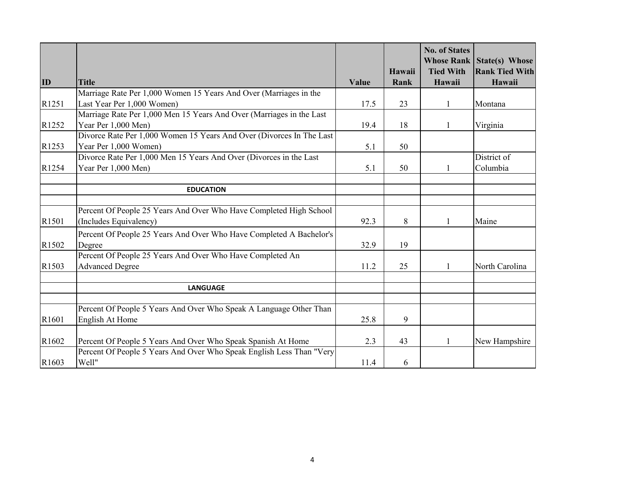|       |                                                                                                                                      |       |        | <b>No. of States</b> | <b>Whose Rank State(s) Whose</b> |
|-------|--------------------------------------------------------------------------------------------------------------------------------------|-------|--------|----------------------|----------------------------------|
|       |                                                                                                                                      |       | Hawaii | <b>Tied With</b>     | <b>Rank Tied With</b>            |
| ID    | <b>Title</b>                                                                                                                         | Value | Rank   | Hawaii               | Hawaii                           |
|       | Marriage Rate Per 1,000 Women 15 Years And Over (Marriages in the                                                                    |       |        |                      |                                  |
| R1251 | Last Year Per 1,000 Women)                                                                                                           | 17.5  | 23     |                      | Montana                          |
|       | Marriage Rate Per 1,000 Men 15 Years And Over (Marriages in the Last                                                                 |       |        |                      |                                  |
| R1252 | Year Per 1,000 Men)                                                                                                                  | 19.4  | 18     |                      | Virginia                         |
|       | Divorce Rate Per 1,000 Women 15 Years And Over (Divorces In The Last                                                                 |       |        |                      |                                  |
| R1253 | Year Per 1,000 Women)                                                                                                                | 5.1   | 50     |                      |                                  |
|       | Divorce Rate Per 1,000 Men 15 Years And Over (Divorces in the Last                                                                   |       |        |                      | District of                      |
| R1254 | Year Per 1,000 Men)                                                                                                                  | 5.1   | 50     | 1                    | Columbia                         |
|       |                                                                                                                                      |       |        |                      |                                  |
|       | <b>EDUCATION</b>                                                                                                                     |       |        |                      |                                  |
|       |                                                                                                                                      |       |        |                      |                                  |
| R1501 | Percent Of People 25 Years And Over Who Have Completed High School<br>(Includes Equivalency)                                         | 92.3  | 8      |                      | Maine                            |
|       | Percent Of People 25 Years And Over Who Have Completed A Bachelor's                                                                  |       |        |                      |                                  |
| R1502 | Degree                                                                                                                               | 32.9  | 19     |                      |                                  |
|       | Percent Of People 25 Years And Over Who Have Completed An                                                                            |       |        |                      |                                  |
| R1503 | <b>Advanced Degree</b>                                                                                                               | 11.2  | 25     | 1                    | North Carolina                   |
|       | <b>LANGUAGE</b>                                                                                                                      |       |        |                      |                                  |
|       |                                                                                                                                      |       |        |                      |                                  |
|       | Percent Of People 5 Years And Over Who Speak A Language Other Than                                                                   |       |        |                      |                                  |
| R1601 | English At Home                                                                                                                      | 25.8  | 9      |                      |                                  |
| R1602 |                                                                                                                                      | 2.3   | 43     | $\mathbf{1}$         |                                  |
|       | Percent Of People 5 Years And Over Who Speak Spanish At Home<br>Percent Of People 5 Years And Over Who Speak English Less Than "Very |       |        |                      | New Hampshire                    |
| R1603 | Well"                                                                                                                                | 11.4  | 6      |                      |                                  |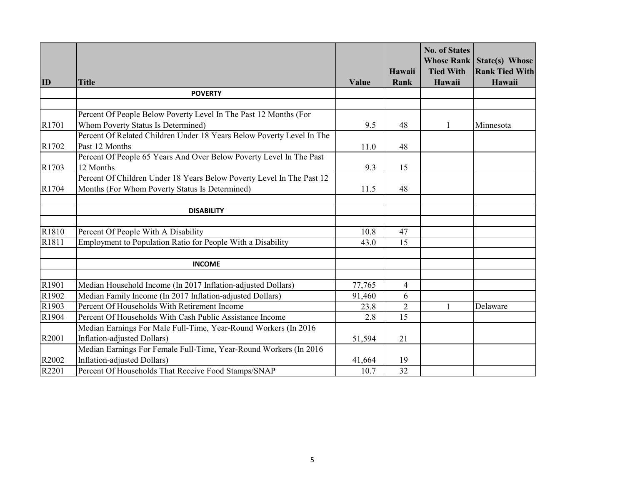|       |                                                                       |        |                | <b>No. of States</b><br><b>Whose Rank</b> | State(s) Whose                  |
|-------|-----------------------------------------------------------------------|--------|----------------|-------------------------------------------|---------------------------------|
| ID    | <b>Title</b>                                                          | Value  | Hawaii<br>Rank | <b>Tied With</b><br>Hawaii                | <b>Rank Tied With</b><br>Hawaii |
|       | <b>POVERTY</b>                                                        |        |                |                                           |                                 |
|       |                                                                       |        |                |                                           |                                 |
|       | Percent Of People Below Poverty Level In The Past 12 Months (For      |        |                |                                           |                                 |
| R1701 | Whom Poverty Status Is Determined)                                    | 9.5    | 48             | 1                                         | Minnesota                       |
|       | Percent Of Related Children Under 18 Years Below Poverty Level In The |        |                |                                           |                                 |
| R1702 | Past 12 Months                                                        | 11.0   | 48             |                                           |                                 |
|       | Percent Of People 65 Years And Over Below Poverty Level In The Past   |        |                |                                           |                                 |
| R1703 | 12 Months                                                             | 9.3    | 15             |                                           |                                 |
|       | Percent Of Children Under 18 Years Below Poverty Level In The Past 12 |        |                |                                           |                                 |
| R1704 | Months (For Whom Poverty Status Is Determined)                        | 11.5   | 48             |                                           |                                 |
|       | <b>DISABILITY</b>                                                     |        |                |                                           |                                 |
|       |                                                                       |        |                |                                           |                                 |
| R1810 | Percent Of People With A Disability                                   | 10.8   | 47             |                                           |                                 |
| R1811 | Employment to Population Ratio for People With a Disability           | 43.0   | 15             |                                           |                                 |
|       | <b>INCOME</b>                                                         |        |                |                                           |                                 |
|       |                                                                       |        |                |                                           |                                 |
| R1901 | Median Household Income (In 2017 Inflation-adjusted Dollars)          | 77,765 | $\overline{4}$ |                                           |                                 |
| R1902 | Median Family Income (In 2017 Inflation-adjusted Dollars)             | 91,460 | 6              |                                           |                                 |
| R1903 | Percent Of Households With Retirement Income                          | 23.8   | $\overline{2}$ | $\mathbf{1}$                              | Delaware                        |
| R1904 | Percent Of Households With Cash Public Assistance Income              | 2.8    | 15             |                                           |                                 |
|       | Median Earnings For Male Full-Time, Year-Round Workers (In 2016       |        |                |                                           |                                 |
| R2001 | Inflation-adjusted Dollars)                                           | 51,594 | 21             |                                           |                                 |
|       | Median Earnings For Female Full-Time, Year-Round Workers (In 2016     |        |                |                                           |                                 |
| R2002 | Inflation-adjusted Dollars)                                           | 41,664 | 19             |                                           |                                 |
| R2201 | Percent Of Households That Receive Food Stamps/SNAP                   | 10.7   | 32             |                                           |                                 |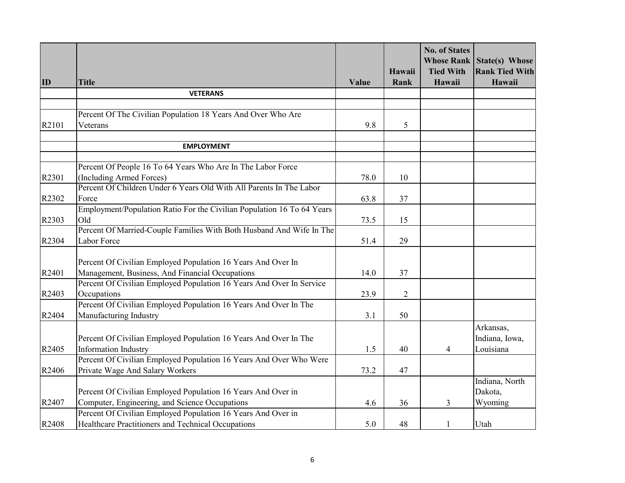|       |                                                                                                 |       |                | <b>No. of States</b><br><b>Whose Rank</b> | State(s) Whose        |
|-------|-------------------------------------------------------------------------------------------------|-------|----------------|-------------------------------------------|-----------------------|
|       |                                                                                                 |       | Hawaii         | <b>Tied With</b>                          | <b>Rank Tied With</b> |
| ID    | <b>Title</b>                                                                                    | Value | Rank           | Hawaii                                    | Hawaii                |
|       | <b>VETERANS</b>                                                                                 |       |                |                                           |                       |
|       |                                                                                                 |       |                |                                           |                       |
|       | Percent Of The Civilian Population 18 Years And Over Who Are                                    |       |                |                                           |                       |
| R2101 | Veterans                                                                                        | 9.8   | 5              |                                           |                       |
|       |                                                                                                 |       |                |                                           |                       |
|       | <b>EMPLOYMENT</b>                                                                               |       |                |                                           |                       |
|       |                                                                                                 |       |                |                                           |                       |
|       | Percent Of People 16 To 64 Years Who Are In The Labor Force                                     |       |                |                                           |                       |
| R2301 | (Including Armed Forces)<br>Percent Of Children Under 6 Years Old With All Parents In The Labor | 78.0  | 10             |                                           |                       |
| R2302 | Force                                                                                           |       |                |                                           |                       |
|       | Employment/Population Ratio For the Civilian Population 16 To 64 Years                          | 63.8  | 37             |                                           |                       |
| R2303 | Old                                                                                             | 73.5  | 15             |                                           |                       |
|       | Percent Of Married-Couple Families With Both Husband And Wife In The                            |       |                |                                           |                       |
| R2304 | Labor Force                                                                                     | 51.4  | 29             |                                           |                       |
|       |                                                                                                 |       |                |                                           |                       |
|       | Percent Of Civilian Employed Population 16 Years And Over In                                    |       |                |                                           |                       |
| R2401 | Management, Business, And Financial Occupations                                                 | 14.0  | 37             |                                           |                       |
|       | Percent Of Civilian Employed Population 16 Years And Over In Service                            |       |                |                                           |                       |
| R2403 | Occupations                                                                                     | 23.9  | $\overline{2}$ |                                           |                       |
|       | Percent Of Civilian Employed Population 16 Years And Over In The                                |       |                |                                           |                       |
| R2404 | Manufacturing Industry                                                                          | 3.1   | 50             |                                           |                       |
|       |                                                                                                 |       |                |                                           | Arkansas,             |
|       | Percent Of Civilian Employed Population 16 Years And Over In The                                |       |                |                                           | Indiana, Iowa,        |
| R2405 | <b>Information Industry</b>                                                                     | 1.5   | 40             | 4                                         | Louisiana             |
|       | Percent Of Civilian Employed Population 16 Years And Over Who Were                              |       |                |                                           |                       |
| R2406 | Private Wage And Salary Workers                                                                 | 73.2  | 47             |                                           |                       |
|       |                                                                                                 |       |                |                                           | Indiana, North        |
|       | Percent Of Civilian Employed Population 16 Years And Over in                                    |       |                |                                           | Dakota,               |
| R2407 | Computer, Engineering, and Science Occupations                                                  | 4.6   | 36             | 3                                         | Wyoming               |
|       | Percent Of Civilian Employed Population 16 Years And Over in                                    |       |                |                                           |                       |
| R2408 | Healthcare Practitioners and Technical Occupations                                              | 5.0   | 48             | $\mathbf{1}$                              | Utah                  |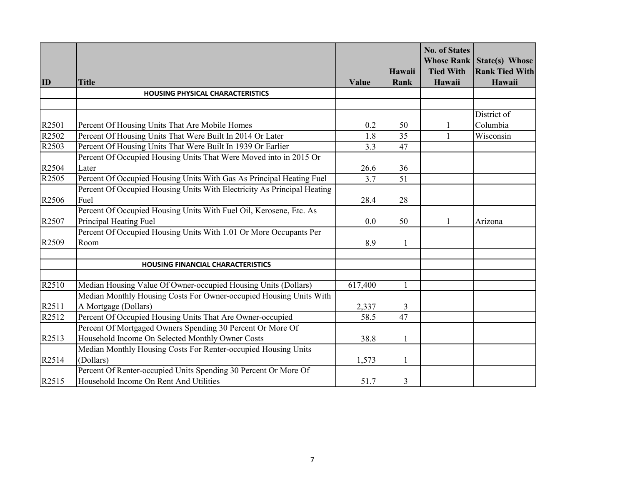|       |                                                                         |         |              | <b>No. of States</b><br><b>Whose Rank</b> | State(s) Whose        |
|-------|-------------------------------------------------------------------------|---------|--------------|-------------------------------------------|-----------------------|
|       |                                                                         |         | Hawaii       | <b>Tied With</b>                          | <b>Rank Tied With</b> |
| ID    | <b>Title</b>                                                            | Value   | Rank         | Hawaii                                    | Hawaii                |
|       | <b>HOUSING PHYSICAL CHARACTERISTICS</b>                                 |         |              |                                           |                       |
|       |                                                                         |         |              |                                           |                       |
|       |                                                                         |         |              |                                           | District of           |
| R2501 | Percent Of Housing Units That Are Mobile Homes                          | 0.2     | 50           | $\mathbf{1}$                              | Columbia              |
| R2502 | Percent Of Housing Units That Were Built In 2014 Or Later               | 1.8     | 35           | $\mathbf{1}$                              | Wisconsin             |
| R2503 | Percent Of Housing Units That Were Built In 1939 Or Earlier             | 3.3     | 47           |                                           |                       |
|       | Percent Of Occupied Housing Units That Were Moved into in 2015 Or       |         |              |                                           |                       |
| R2504 | Later                                                                   | 26.6    | 36           |                                           |                       |
| R2505 | Percent Of Occupied Housing Units With Gas As Principal Heating Fuel    | 3.7     | 51           |                                           |                       |
|       | Percent Of Occupied Housing Units With Electricity As Principal Heating |         |              |                                           |                       |
| R2506 | Fuel                                                                    | 28.4    | 28           |                                           |                       |
|       | Percent Of Occupied Housing Units With Fuel Oil, Kerosene, Etc. As      |         |              |                                           |                       |
| R2507 | Principal Heating Fuel                                                  | 0.0     | 50           | 1                                         | Arizona               |
|       | Percent Of Occupied Housing Units With 1.01 Or More Occupants Per       |         |              |                                           |                       |
| R2509 | Room                                                                    | 8.9     | $\mathbf{1}$ |                                           |                       |
|       |                                                                         |         |              |                                           |                       |
|       | <b>HOUSING FINANCIAL CHARACTERISTICS</b>                                |         |              |                                           |                       |
| R2510 | Median Housing Value Of Owner-occupied Housing Units (Dollars)          | 617,400 | 1            |                                           |                       |
|       | Median Monthly Housing Costs For Owner-occupied Housing Units With      |         |              |                                           |                       |
| R2511 | A Mortgage (Dollars)                                                    | 2,337   | 3            |                                           |                       |
| R2512 | Percent Of Occupied Housing Units That Are Owner-occupied               | 58.5    | 47           |                                           |                       |
|       | Percent Of Mortgaged Owners Spending 30 Percent Or More Of              |         |              |                                           |                       |
| R2513 | Household Income On Selected Monthly Owner Costs                        | 38.8    | 1            |                                           |                       |
|       | Median Monthly Housing Costs For Renter-occupied Housing Units          |         |              |                                           |                       |
| R2514 | (Dollars)                                                               | 1,573   | 1            |                                           |                       |
|       | Percent Of Renter-occupied Units Spending 30 Percent Or More Of         |         |              |                                           |                       |
| R2515 | Household Income On Rent And Utilities                                  | 51.7    | 3            |                                           |                       |